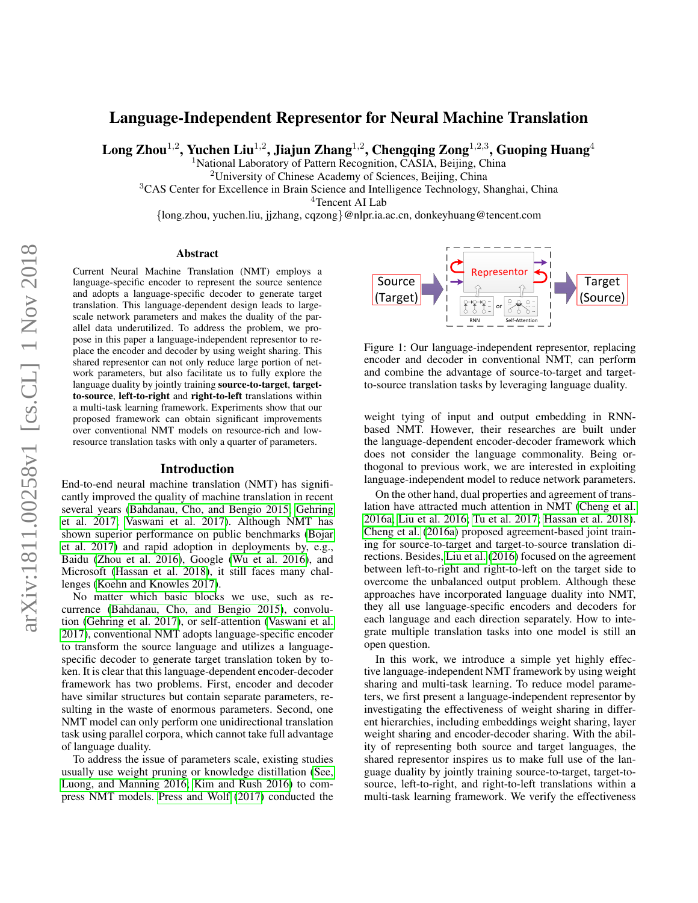# Language-Independent Representor for Neural Machine Translation

 $\rm{Long}$  Zhou $^{1,2}$ , Yuchen  $\rm{Liu}^{1,2}$ , Jiajun Zhang $^{1,2}$ , Chengqing Zong $^{1,2,3}$ , Guoping Huang $^4$ 

<sup>1</sup>National Laboratory of Pattern Recognition, CASIA, Beijing, China

<sup>2</sup>University of Chinese Academy of Sciences, Beijing, China

<sup>3</sup>CAS Center for Excellence in Brain Science and Intelligence Technology, Shanghai, China

<sup>4</sup>Tencent AI Lab

{long.zhou, yuchen.liu, jjzhang, cqzong}@nlpr.ia.ac.cn, donkeyhuang@tencent.com

#### Abstract

Current Neural Machine Translation (NMT) employs a language-specific encoder to represent the source sentence and adopts a language-specific decoder to generate target translation. This language-dependent design leads to largescale network parameters and makes the duality of the parallel data underutilized. To address the problem, we propose in this paper a language-independent representor to replace the encoder and decoder by using weight sharing. This shared representor can not only reduce large portion of network parameters, but also facilitate us to fully explore the language duality by jointly training source-to-target, targetto-source, left-to-right and right-to-left translations within a multi-task learning framework. Experiments show that our proposed framework can obtain significant improvements over conventional NMT models on resource-rich and lowresource translation tasks with only a quarter of parameters.

#### Introduction

End-to-end neural machine translation (NMT) has significantly improved the quality of machine translation in recent several years [\(Bahdanau, Cho, and Bengio 2015;](#page-6-0) [Gehring](#page-7-0) [et al. 2017;](#page-7-0) [Vaswani et al. 2017\)](#page-7-1). Although NMT has shown superior performance on public benchmarks [\(Bojar](#page-6-1) [et al. 2017\)](#page-6-1) and rapid adoption in deployments by, e.g., Baidu [\(Zhou et al. 2016\)](#page-8-0), Google [\(Wu et al. 2016\)](#page-7-2), and Microsoft [\(Hassan et al. 2018\)](#page-7-3), it still faces many challenges [\(Koehn and Knowles 2017\)](#page-7-4).

No matter which basic blocks we use, such as recurrence [\(Bahdanau, Cho, and Bengio 2015\)](#page-6-0), convolution [\(Gehring et al. 2017\)](#page-7-0), or self-attention [\(Vaswani et al.](#page-7-1) [2017\)](#page-7-1), conventional NMT adopts language-specific encoder to transform the source language and utilizes a languagespecific decoder to generate target translation token by token. It is clear that this language-dependent encoder-decoder framework has two problems. First, encoder and decoder have similar structures but contain separate parameters, resulting in the waste of enormous parameters. Second, one NMT model can only perform one unidirectional translation task using parallel corpora, which cannot take full advantage of language duality.

To address the issue of parameters scale, existing studies usually use weight pruning or knowledge distillation [\(See,](#page-7-5) [Luong, and Manning 2016;](#page-7-5) [Kim and Rush 2016\)](#page-7-6) to compress NMT models. [Press and Wolf](#page-7-7) [\(2017\)](#page-7-7) conducted the



Figure 1: Our language-independent representor, replacing encoder and decoder in conventional NMT, can perform and combine the advantage of source-to-target and targetto-source translation tasks by leveraging language duality.

weight tying of input and output embedding in RNNbased NMT. However, their researches are built under the language-dependent encoder-decoder framework which does not consider the language commonality. Being orthogonal to previous work, we are interested in exploiting language-independent model to reduce network parameters.

On the other hand, dual properties and agreement of translation have attracted much attention in NMT [\(Cheng et al.](#page-6-2) [2016a;](#page-6-2) [Liu et al. 2016;](#page-7-8) [Tu et al. 2017;](#page-7-9) [Hassan et al. 2018\)](#page-7-3). [Cheng et al.](#page-6-2) [\(2016a\)](#page-6-2) proposed agreement-based joint training for source-to-target and target-to-source translation directions. Besides, [Liu et al.](#page-7-8) [\(2016\)](#page-7-8) focused on the agreement between left-to-right and right-to-left on the target side to overcome the unbalanced output problem. Although these approaches have incorporated language duality into NMT, they all use language-specific encoders and decoders for each language and each direction separately. How to integrate multiple translation tasks into one model is still an open question.

In this work, we introduce a simple yet highly effective language-independent NMT framework by using weight sharing and multi-task learning. To reduce model parameters, we first present a language-independent representor by investigating the effectiveness of weight sharing in different hierarchies, including embeddings weight sharing, layer weight sharing and encoder-decoder sharing. With the ability of representing both source and target languages, the shared representor inspires us to make full use of the language duality by jointly training source-to-target, target-tosource, left-to-right, and right-to-left translations within a multi-task learning framework. We verify the effectiveness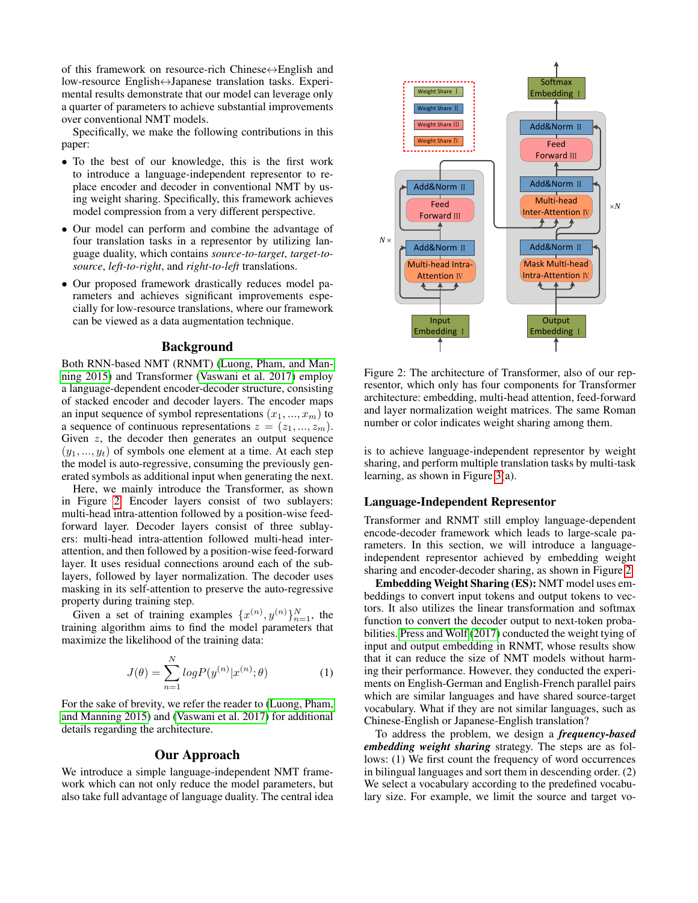of this framework on resource-rich Chinese↔English and low-resource English↔Japanese translation tasks. Experimental results demonstrate that our model can leverage only a quarter of parameters to achieve substantial improvements over conventional NMT models.

Specifically, we make the following contributions in this paper:

- To the best of our knowledge, this is the first work to introduce a language-independent representor to replace encoder and decoder in conventional NMT by using weight sharing. Specifically, this framework achieves model compression from a very different perspective.
- Our model can perform and combine the advantage of four translation tasks in a representor by utilizing language duality, which contains *source-to-target*, *target-tosource*, *left-to-right*, and *right-to-left* translations.
- Our proposed framework drastically reduces model parameters and achieves significant improvements especially for low-resource translations, where our framework can be viewed as a data augmentation technique.

# Background

Both RNN-based NMT (RNMT) [\(Luong, Pham, and Man](#page-7-10)[ning 2015\)](#page-7-10) and Transformer [\(Vaswani et al. 2017\)](#page-7-1) employ a language-dependent encoder-decoder structure, consisting of stacked encoder and decoder layers. The encoder maps an input sequence of symbol representations  $(x_1, ..., x_m)$  to a sequence of continuous representations  $z = (z_1, ..., z_m)$ . Given  $z$ , the decoder then generates an output sequence  $(y_1, ..., y_t)$  of symbols one element at a time. At each step the model is auto-regressive, consuming the previously generated symbols as additional input when generating the next.

Here, we mainly introduce the Transformer, as shown in Figure [2.](#page-1-0) Encoder layers consist of two sublayers: multi-head intra-attention followed by a position-wise feedforward layer. Decoder layers consist of three sublayers: multi-head intra-attention followed multi-head interattention, and then followed by a position-wise feed-forward layer. It uses residual connections around each of the sublayers, followed by layer normalization. The decoder uses masking in its self-attention to preserve the auto-regressive property during training step.

Given a set of training examples  $\{x^{(n)}, y^{(n)}\}_{n=1}^N$ , the training algorithm aims to find the model parameters that maximize the likelihood of the training data:

$$
J(\theta) = \sum_{n=1}^{N} log P(y^{(n)} | x^{(n)}; \theta)
$$
 (1)

For the sake of brevity, we refer the reader to [\(Luong, Pham,](#page-7-10) [and Manning 2015\)](#page-7-10) and [\(Vaswani et al. 2017\)](#page-7-1) for additional details regarding the architecture.

## Our Approach

We introduce a simple language-independent NMT framework which can not only reduce the model parameters, but also take full advantage of language duality. The central idea



<span id="page-1-0"></span>Figure 2: The architecture of Transformer, also of our representor, which only has four components for Transformer architecture: embedding, multi-head attention, feed-forward and layer normalization weight matrices. The same Roman number or color indicates weight sharing among them.

is to achieve language-independent representor by weight sharing, and perform multiple translation tasks by multi-task learning, as shown in Figure [3\(](#page-2-0)a).

#### Language-Independent Representor

Transformer and RNMT still employ language-dependent encode-decoder framework which leads to large-scale parameters. In this section, we will introduce a languageindependent representor achieved by embedding weight sharing and encoder-decoder sharing, as shown in Figure [2.](#page-1-0)

Embedding Weight Sharing (ES): NMT model uses embeddings to convert input tokens and output tokens to vectors. It also utilizes the linear transformation and softmax function to convert the decoder output to next-token probabilities. [Press and Wolf](#page-7-7) [\(2017\)](#page-7-7) conducted the weight tying of input and output embedding in RNMT, whose results show that it can reduce the size of NMT models without harming their performance. However, they conducted the experiments on English-German and English-French parallel pairs which are similar languages and have shared source-target vocabulary. What if they are not similar languages, such as Chinese-English or Japanese-English translation?

To address the problem, we design a *frequency-based embedding weight sharing* strategy. The steps are as follows: (1) We first count the frequency of word occurrences in bilingual languages and sort them in descending order. (2) We select a vocabulary according to the predefined vocabulary size. For example, we limit the source and target vo-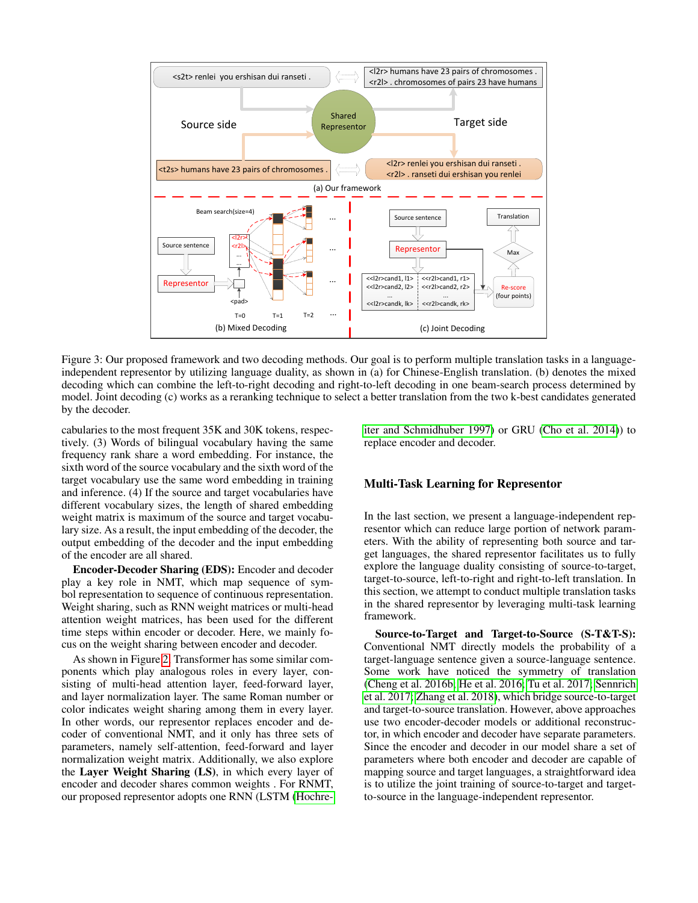

<span id="page-2-0"></span>Figure 3: Our proposed framework and two decoding methods. Our goal is to perform multiple translation tasks in a languageindependent representor by utilizing language duality, as shown in (a) for Chinese-English translation. (b) denotes the mixed decoding which can combine the left-to-right decoding and right-to-left decoding in one beam-search process determined by model. Joint decoding (c) works as a reranking technique to select a better translation from the two k-best candidates generated by the decoder.

cabularies to the most frequent 35K and 30K tokens, respectively. (3) Words of bilingual vocabulary having the same frequency rank share a word embedding. For instance, the sixth word of the source vocabulary and the sixth word of the target vocabulary use the same word embedding in training and inference. (4) If the source and target vocabularies have different vocabulary sizes, the length of shared embedding weight matrix is maximum of the source and target vocabulary size. As a result, the input embedding of the decoder, the output embedding of the decoder and the input embedding of the encoder are all shared.

Encoder-Decoder Sharing (EDS): Encoder and decoder play a key role in NMT, which map sequence of symbol representation to sequence of continuous representation. Weight sharing, such as RNN weight matrices or multi-head attention weight matrices, has been used for the different time steps within encoder or decoder. Here, we mainly focus on the weight sharing between encoder and decoder.

As shown in Figure [2,](#page-1-0) Transformer has some similar components which play analogous roles in every layer, consisting of multi-head attention layer, feed-forward layer, and layer normalization layer. The same Roman number or color indicates weight sharing among them in every layer. In other words, our representor replaces encoder and decoder of conventional NMT, and it only has three sets of parameters, namely self-attention, feed-forward and layer normalization weight matrix. Additionally, we also explore the Layer Weight Sharing (LS), in which every layer of encoder and decoder shares common weights . For RNMT, our proposed representor adopts one RNN (LSTM [\(Hochre-](#page-7-11) [iter and Schmidhuber 1997\)](#page-7-11) or GRU [\(Cho et al. 2014\)](#page-7-12)) to replace encoder and decoder.

### Multi-Task Learning for Representor

In the last section, we present a language-independent representor which can reduce large portion of network parameters. With the ability of representing both source and target languages, the shared representor facilitates us to fully explore the language duality consisting of source-to-target, target-to-source, left-to-right and right-to-left translation. In this section, we attempt to conduct multiple translation tasks in the shared representor by leveraging multi-task learning framework.

Source-to-Target and Target-to-Source (S-T&T-S): Conventional NMT directly models the probability of a target-language sentence given a source-language sentence. Some work have noticed the symmetry of translation [\(Cheng et al. 2016b;](#page-6-3) [He et al. 2016;](#page-7-13) [Tu et al. 2017;](#page-7-9) [Sennrich](#page-7-14) [et al. 2017;](#page-7-14) [Zhang et al. 2018\)](#page-8-1), which bridge source-to-target and target-to-source translation. However, above approaches use two encoder-decoder models or additional reconstructor, in which encoder and decoder have separate parameters. Since the encoder and decoder in our model share a set of parameters where both encoder and decoder are capable of mapping source and target languages, a straightforward idea is to utilize the joint training of source-to-target and targetto-source in the language-independent representor.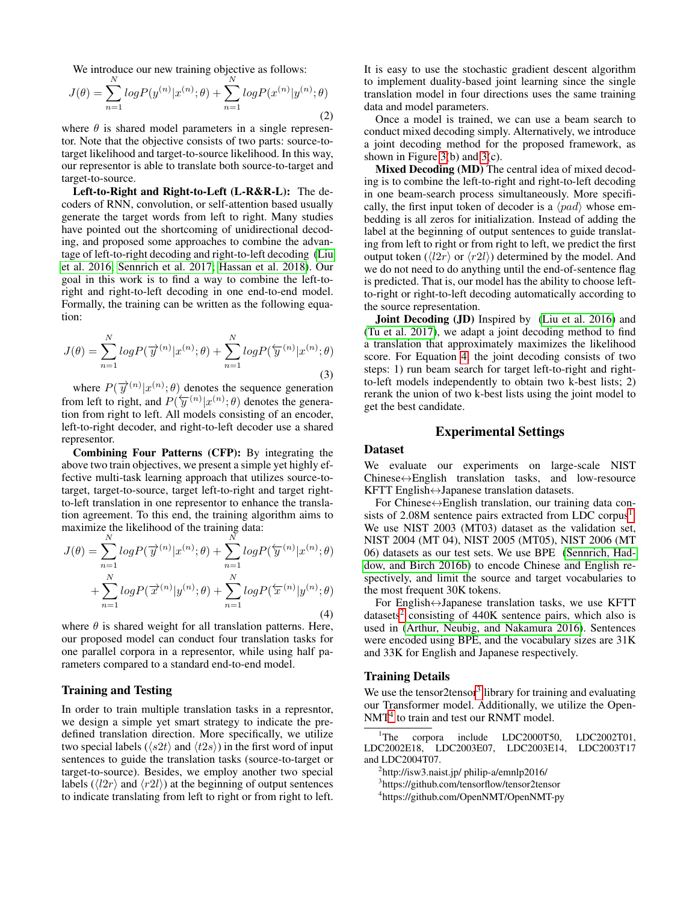We introduce our new training objective as follows:

<span id="page-3-5"></span>
$$
J(\theta) = \sum_{n=1}^{N} log P(y^{(n)} | x^{(n)}; \theta) + \sum_{n=1}^{N} log P(x^{(n)} | y^{(n)}; \theta)
$$
\n(2)

where  $\theta$  is shared model parameters in a single representor. Note that the objective consists of two parts: source-totarget likelihood and target-to-source likelihood. In this way, our representor is able to translate both source-to-target and target-to-source.

Left-to-Right and Right-to-Left (L-R&R-L): The decoders of RNN, convolution, or self-attention based usually generate the target words from left to right. Many studies have pointed out the shortcoming of unidirectional decoding, and proposed some approaches to combine the advantage of left-to-right decoding and right-to-left decoding [\(Liu](#page-7-8) [et al. 2016;](#page-7-8) [Sennrich et al. 2017;](#page-7-14) [Hassan et al. 2018\)](#page-7-3). Our goal in this work is to find a way to combine the left-toright and right-to-left decoding in one end-to-end model. Formally, the training can be written as the following equation:

<span id="page-3-6"></span>
$$
J(\theta) = \sum_{n=1}^{N} log P(\overrightarrow{y}^{(n)} | x^{(n)}; \theta) + \sum_{n=1}^{N} log P(\overleftarrow{y}^{(n)} | x^{(n)}; \theta)
$$
\n(3)

where  $P(\vec{y}^{(n)} | x^{(n)}; \theta)$  denotes the sequence generation from left to right, and  $P(\overleftarrow{y}^{(n)}|x^{(n)};\theta)$  denotes the generation from right to left. All models consisting of an encoder, left-to-right decoder, and right-to-left decoder use a shared representor.

Combining Four Patterns (CFP): By integrating the above two train objectives, we present a simple yet highly effective multi-task learning approach that utilizes source-totarget, target-to-source, target left-to-right and target rightto-left translation in one representor to enhance the translation agreement. To this end, the training algorithm aims to maximize the likelihood of the training data:

<span id="page-3-0"></span>
$$
J(\theta) = \sum_{n=1}^{N} log P(\overrightarrow{y}^{(n)} | x^{(n)}; \theta) + \sum_{n=1}^{N} log P(\overleftarrow{y}^{(n)} | x^{(n)}; \theta)
$$

$$
+ \sum_{n=1}^{N} log P(\overrightarrow{x}^{(n)} | y^{(n)}; \theta) + \sum_{n=1}^{N} log P(\overleftarrow{x}^{(n)} | y^{(n)}; \theta)
$$
(4)

where  $\theta$  is shared weight for all translation patterns. Here, our proposed model can conduct four translation tasks for one parallel corpora in a representor, while using half parameters compared to a standard end-to-end model.

## Training and Testing

In order to train multiple translation tasks in a represntor, we design a simple yet smart strategy to indicate the predefined translation direction. More specifically, we utilize two special labels ( $\langle s2t \rangle$  and  $\langle t2s \rangle$ ) in the first word of input sentences to guide the translation tasks (source-to-target or target-to-source). Besides, we employ another two special labels ( $\langle l2r \rangle$  and  $\langle r2l \rangle$ ) at the beginning of output sentences to indicate translating from left to right or from right to left.

It is easy to use the stochastic gradient descent algorithm to implement duality-based joint learning since the single translation model in four directions uses the same training data and model parameters.

Once a model is trained, we can use a beam search to conduct mixed decoding simply. Alternatively, we introduce a joint decoding method for the proposed framework, as shown in Figure [3\(](#page-2-0)b) and [3\(](#page-2-0)c).

Mixed Decoding (MD) The central idea of mixed decoding is to combine the left-to-right and right-to-left decoding in one beam-search process simultaneously. More specifically, the first input token of decoder is a  $\langle pad \rangle$  whose embedding is all zeros for initialization. Instead of adding the label at the beginning of output sentences to guide translating from left to right or from right to left, we predict the first output token  $(\langle l2r \rangle$  or  $\langle r2l \rangle$ ) determined by the model. And we do not need to do anything until the end-of-sentence flag is predicted. That is, our model has the ability to choose leftto-right or right-to-left decoding automatically according to the source representation.

Joint Decoding (JD) Inspired by [\(Liu et al. 2016\)](#page-7-8) and [\(Tu et al. 2017\)](#page-7-9), we adapt a joint decoding method to find a translation that approximately maximizes the likelihood score. For Equation [4,](#page-3-0) the joint decoding consists of two steps: 1) run beam search for target left-to-right and rightto-left models independently to obtain two k-best lists; 2) rerank the union of two k-best lists using the joint model to get the best candidate.

# Experimental Settings

## Dataset

We evaluate our experiments on large-scale NIST  $Chinese \leftrightarrow English$  translation tasks, and low-resource KFTT English↔Japanese translation datasets.

For Chinese↔English translation, our training data con-sists of 2.08M sentence pairs extracted from LDC corpus<sup>[1](#page-3-1)</sup>. We use NIST 2003 (MT03) dataset as the validation set, NIST 2004 (MT 04), NIST 2005 (MT05), NIST 2006 (MT 06) datasets as our test sets. We use BPE [\(Sennrich, Had](#page-7-15)[dow, and Birch 2016b\)](#page-7-15) to encode Chinese and English respectively, and limit the source and target vocabularies to the most frequent 30K tokens.

For English↔Japanese translation tasks, we use KFTT datasets<sup>[2](#page-3-2)</sup> consisting of 440K sentence pairs, which also is used in [\(Arthur, Neubig, and Nakamura 2016\)](#page-6-4). Sentences were encoded using BPE, and the vocabulary sizes are 31K and 33K for English and Japanese respectively.

#### Training Details

We use the tensor2tensor<sup>[3](#page-3-3)</sup> library for training and evaluating our Transformer model. Additionally, we utilize the Open-NMT<sup>[4](#page-3-4)</sup> to train and test our RNMT model.

<span id="page-3-1"></span><sup>1</sup>The corpora include LDC2000T50, LDC2002T01, LDC2002E18, LDC2003E07, LDC2003E14, LDC2003T17 and LDC2004T07.

<span id="page-3-4"></span>4 https://github.com/OpenNMT/OpenNMT-py

<span id="page-3-2"></span><sup>2</sup> http://isw3.naist.jp/ philip-a/emnlp2016/

<span id="page-3-3"></span><sup>3</sup> https://github.com/tensorflow/tensor2tensor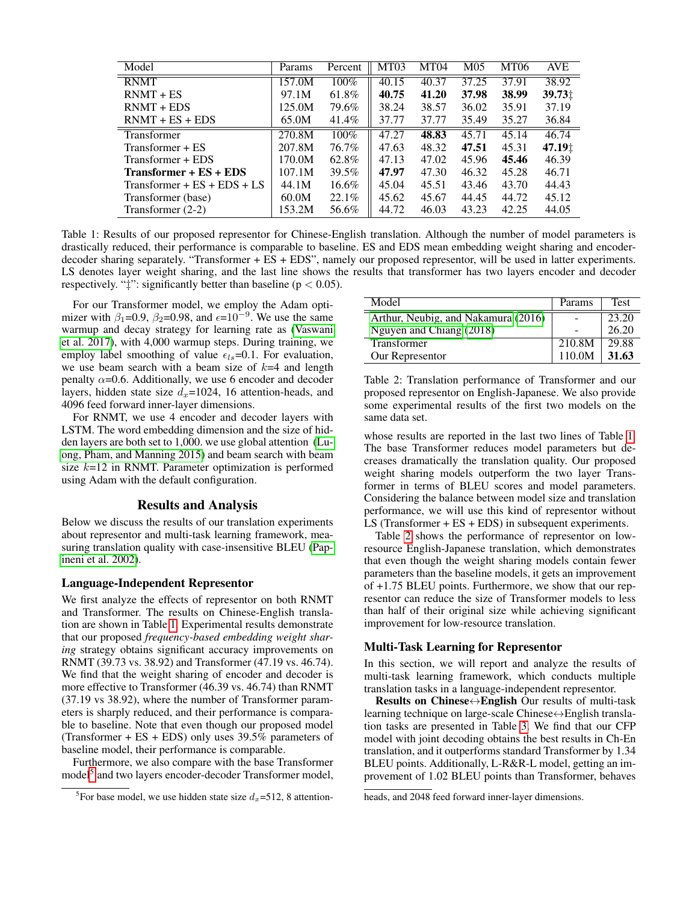| Model                             | Params | Percent  | MT <sub>03</sub> | MT04  | M <sub>05</sub> | MT06  | <b>AVE</b>         |
|-----------------------------------|--------|----------|------------------|-------|-----------------|-------|--------------------|
| <b>RNMT</b>                       | 157.0M | 100%     | 40.15            | 40.37 | 37.25           | 37.91 | 38.92              |
| $RNMT + ES$                       | 97.1M  | 61.8%    | 40.75            | 41.20 | 37.98           | 38.99 | 39.73 <sub>1</sub> |
| $RNMT + EDS$                      | 125.0M | 79.6%    | 38.24            | 38.57 | 36.02           | 35.91 | 37.19              |
| $RNMT + ES + EDS$                 | 65.0M  | 41.4%    | 37.77            | 37.77 | 35.49           | 35.27 | 36.84              |
| <b>Transformer</b>                | 270.8M | 100%     | 47.27            | 48.83 | 45.71           | 45.14 | 46.74              |
| Transformer + ES                  | 207.8M | 76.7%    | 47.63            | 48.32 | 47.51           | 45.31 | 47.19 <sup>+</sup> |
| Transformer + EDS                 | 170.0M | 62.8%    | 47.13            | 47.02 | 45.96           | 45.46 | 46.39              |
| Transformer + ES + EDS            | 107.1M | 39.5%    | 47.97            | 47.30 | 46.32           | 45.28 | 46.71              |
| Transformer + $ES$ + $EDS$ + $LS$ | 44.1M  | $16.6\%$ | 45.04            | 45.51 | 43.46           | 43.70 | 44.43              |
| Transformer (base)                | 60.0M  | 22.1%    | 45.62            | 45.67 | 44.45           | 44.72 | 45.12              |
| Transformer (2-2)                 | 153.2M | 56.6%    | 44.72            | 46.03 | 43.23           | 42.25 | 44.05              |

<span id="page-4-0"></span>Table 1: Results of our proposed representor for Chinese-English translation. Although the number of model parameters is drastically reduced, their performance is comparable to baseline. ES and EDS mean embedding weight sharing and encoderdecoder sharing separately. "Transformer + ES + EDS", namely our proposed representor, will be used in latter experiments. LS denotes layer weight sharing, and the last line shows the results that transformer has two layers encoder and decoder respectively. " $\ddagger$ ": significantly better than baseline ( $p < 0.05$ ).

For our Transformer model, we employ the Adam optimizer with  $\beta_1$ =0.9,  $\beta_2$ =0.98, and  $\epsilon$ =10<sup>-9</sup>. We use the same warmup and decay strategy for learning rate as [\(Vaswani](#page-7-1) [et al. 2017\)](#page-7-1), with 4,000 warmup steps. During training, we employ label smoothing of value  $\epsilon_{ls}=0.1$ . For evaluation, we use beam search with a beam size of  $k=4$  and length penalty  $\alpha$ =0.6. Additionally, we use 6 encoder and decoder layers, hidden state size  $d_x=1024$ , 16 attention-heads, and 4096 feed forward inner-layer dimensions.

For RNMT, we use 4 encoder and decoder layers with LSTM. The word embedding dimension and the size of hidden layers are both set to 1,000. we use global attention [\(Lu](#page-7-10)[ong, Pham, and Manning 2015\)](#page-7-10) and beam search with beam size  $k=12$  in RNMT. Parameter optimization is performed using Adam with the default configuration.

#### Results and Analysis

Below we discuss the results of our translation experiments about representor and multi-task learning framework, measuring translation quality with case-insensitive BLEU [\(Pap](#page-7-16)[ineni et al. 2002\)](#page-7-16).

### Language-Independent Representor

We first analyze the effects of representor on both RNMT and Transformer. The results on Chinese-English translation are shown in Table [1.](#page-4-0) Experimental results demonstrate that our proposed *frequency-based embedding weight sharing* strategy obtains significant accuracy improvements on RNMT (39.73 vs. 38.92) and Transformer (47.19 vs. 46.74). We find that the weight sharing of encoder and decoder is more effective to Transformer (46.39 vs. 46.74) than RNMT (37.19 vs 38.92), where the number of Transformer parameters is sharply reduced, and their performance is comparable to baseline. Note that even though our proposed model (Transformer  $+ ES + EDS$ ) only uses 39.5% parameters of baseline model, their performance is comparable.

Furthermore, we also compare with the base Transformer model<sup>[5](#page-4-1)</sup> and two layers encoder-decoder Transformer model,

| Model                               | Params | <b>Test</b> |
|-------------------------------------|--------|-------------|
| Arthur, Neubig, and Nakamura (2016) |        | 23.20       |
| Nguyen and Chiang (2018)            |        | 26.20       |
| <b>Transformer</b>                  | 210.8M | 29.88       |
| Our Representor                     | 110.0M | 31.63       |

<span id="page-4-2"></span>Table 2: Translation performance of Transformer and our proposed representor on English-Japanese. We also provide some experimental results of the first two models on the same data set.

whose results are reported in the last two lines of Table [1.](#page-4-0) The base Transformer reduces model parameters but decreases dramatically the translation quality. Our proposed weight sharing models outperform the two layer Transformer in terms of BLEU scores and model parameters. Considering the balance between model size and translation performance, we will use this kind of representor without LS (Transformer + ES + EDS) in subsequent experiments.

Table [2](#page-4-2) shows the performance of representor on lowresource English-Japanese translation, which demonstrates that even though the weight sharing models contain fewer parameters than the baseline models, it gets an improvement of +1.75 BLEU points. Furthermore, we show that our representor can reduce the size of Transformer models to less than half of their original size while achieving significant improvement for low-resource translation.

#### Multi-Task Learning for Representor

In this section, we will report and analyze the results of multi-task learning framework, which conducts multiple translation tasks in a language-independent representor.

Results on Chinese↔English Our results of multi-task learning technique on large-scale Chinese↔English translation tasks are presented in Table [3.](#page-5-0) We find that our CFP model with joint decoding obtains the best results in Ch-En translation, and it outperforms standard Transformer by 1.34 BLEU points. Additionally, L-R&R-L model, getting an improvement of 1.02 BLEU points than Transformer, behaves

<span id="page-4-1"></span><sup>&</sup>lt;sup>5</sup>For base model, we use hidden state size  $d_x = 512$ , 8 attention-

heads, and 2048 feed forward inner-layer dimensions.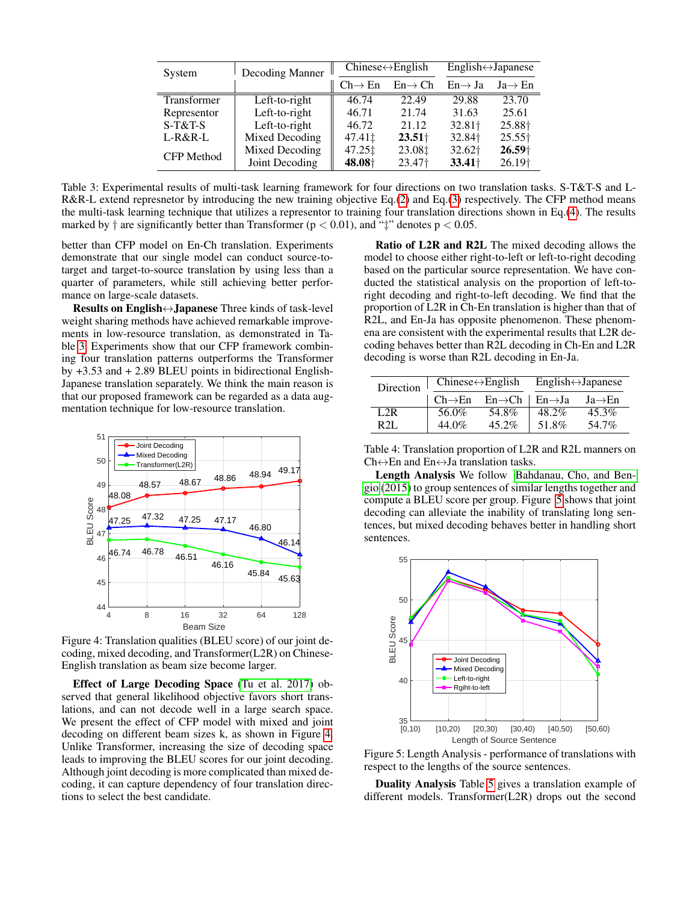| System      | Decoding Manner |                     | $Chinese \leftrightarrow English$ | $English \leftrightarrow Japanese$ |                     |  |
|-------------|-----------------|---------------------|-----------------------------------|------------------------------------|---------------------|--|
|             |                 | $Ch \rightarrow En$ | $En \rightarrow Ch$               | $En \rightarrow Ja$                | $Ja \rightarrow En$ |  |
| Transformer | Left-to-right   | 46.74               | 22.49                             | 29.88                              | 23.70               |  |
| Representor | Left-to-right   | 46.71               | 21.74                             | 31.63                              | 25.61               |  |
| $S-T&T-S$   | Left-to-right   | 46.72               | 21.12                             | 32.81†                             | 25.88 <sup>+</sup>  |  |
| $L-R&R-L$   | Mixed Decoding  | 47.41‡              | $23.51+$                          | 32.84                              | $25.55\dagger$      |  |
| CFP Method  | Mixed Decoding  | 47.25 ±             | 23.08‡                            | 32.62†                             | $26.59+$            |  |
|             | Joint Decoding  | 48.08               | 23.47 <sup>+</sup>                | $33.41\dagger$                     | 26.19 <sup>+</sup>  |  |

<span id="page-5-0"></span>Table 3: Experimental results of multi-task learning framework for four directions on two translation tasks. S-T&T-S and L-R&R-L extend represnetor by introducing the new training objective Eq.[\(2\)](#page-3-5) and Eq.[\(3\)](#page-3-6) respectively. The CFP method means the multi-task learning technique that utilizes a representor to training four translation directions shown in Eq.[\(4\)](#page-3-0). The results marked by  $\dagger$  are significantly better than Transformer ( $p < 0.01$ ), and " $\dagger$ " denotes  $p < 0.05$ .

better than CFP model on En-Ch translation. Experiments demonstrate that our single model can conduct source-totarget and target-to-source translation by using less than a quarter of parameters, while still achieving better performance on large-scale datasets.

Results on English↔Japanese Three kinds of task-level weight sharing methods have achieved remarkable improvements in low-resource translation, as demonstrated in Table [3.](#page-5-0) Experiments show that our CFP framework combining four translation patterns outperforms the Transformer by +3.53 and + 2.89 BLEU points in bidirectional English-Japanese translation separately. We think the main reason is that our proposed framework can be regarded as a data augmentation technique for low-resource translation.



<span id="page-5-1"></span>Figure 4: Translation qualities (BLEU score) of our joint decoding, mixed decoding, and Transformer(L2R) on Chinese-English translation as beam size become larger.

Effect of Large Decoding Space [\(Tu et al. 2017\)](#page-7-9) observed that general likelihood objective favors short translations, and can not decode well in a large search space. We present the effect of CFP model with mixed and joint decoding on different beam sizes k, as shown in Figure [4.](#page-5-1) Unlike Transformer, increasing the size of decoding space leads to improving the BLEU scores for our joint decoding. Although joint decoding is more complicated than mixed decoding, it can capture dependency of four translation directions to select the best candidate.

Ratio of L2R and R2L The mixed decoding allows the model to choose either right-to-left or left-to-right decoding based on the particular source representation. We have conducted the statistical analysis on the proportion of left-toright decoding and right-to-left decoding. We find that the proportion of L2R in Ch-En translation is higher than that of R2L, and En-Ja has opposite phenomenon. These phenomena are consistent with the experimental results that L2R decoding behaves better than R2L decoding in Ch-En and L2R decoding is worse than R2L decoding in En-Ja.

| Direction | $Chinese \leftrightarrow English$ |                     | $English \leftrightarrow Japanese$    |                     |  |
|-----------|-----------------------------------|---------------------|---------------------------------------|---------------------|--|
|           | $Ch \rightarrow En$               | $En \rightarrow Ch$ | $\mathsf{En} \rightarrow \mathsf{Ja}$ | $Ja \rightarrow En$ |  |
| L2R       | 56.0%                             | 54.8%               | 48.2%                                 | 45.3%               |  |
| R 21.     | 44.0%                             | $45.2\%$            | 51.8%                                 | 54.7%               |  |

Table 4: Translation proportion of L2R and R2L manners on  $Ch \leftrightarrow En$  and  $En \leftrightarrow Ja$  translation tasks.

Length Analysis We follow [Bahdanau, Cho, and Ben](#page-6-0)[gio](#page-6-0) [\(2015\)](#page-6-0) to group sentences of similar lengths together and compute a BLEU score per group. Figure [5](#page-5-2) shows that joint decoding can alleviate the inability of translating long sentences, but mixed decoding behaves better in handling short sentences.



<span id="page-5-2"></span>Figure 5: Length Analysis - performance of translations with respect to the lengths of the source sentences.

Duality Analysis Table [5](#page-6-5) gives a translation example of different models. Transformer(L2R) drops out the second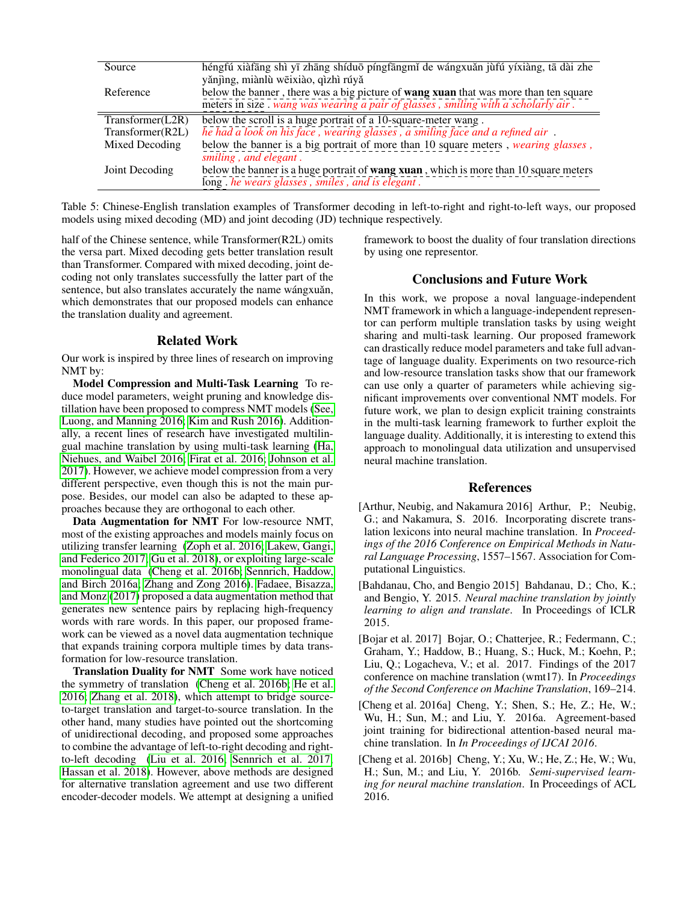| Source           | héngfú xiàfāng shì yī zhāng shíduō píngfāngmǐ de wángxuǎn jùfú yíxiàng, tā dài zhe                                                               |
|------------------|--------------------------------------------------------------------------------------------------------------------------------------------------|
|                  | yǎnjìng, miànlù wēixiào, qìzhì rúyǎ                                                                                                              |
| Reference        | below the banner, there was a big picture of <b>wang xuan</b> that was more than ten square                                                      |
|                  | meters in size . wang was wearing a pair of glasses, smiling with a scholarly air.                                                               |
| Transformer(L2R) | below the scroll is a huge portrait of a 10-square-meter wang.                                                                                   |
| Transformer(R2L) | he had a look on his face, wearing glasses, a smiling face and a refined air.                                                                    |
| Mixed Decoding   | below the banner is a big portrait of more than 10 square meters, <i>wearing glasses</i> ,<br>smiling, and elegant.                              |
| Joint Decoding   | below the banner is a huge portrait of <b>wang xuan</b> , which is more than 10 square meters<br>long. he wears glasses, smiles, and is elegant. |

<span id="page-6-5"></span>Table 5: Chinese-English translation examples of Transformer decoding in left-to-right and right-to-left ways, our proposed models using mixed decoding (MD) and joint decoding (JD) technique respectively.

half of the Chinese sentence, while Transformer(R2L) omits the versa part. Mixed decoding gets better translation result than Transformer. Compared with mixed decoding, joint decoding not only translates successfully the latter part of the sentence, but also translates accurately the name wángxuǎn, which demonstrates that our proposed models can enhance the translation duality and agreement.

## Related Work

Our work is inspired by three lines of research on improving NMT by:

Model Compression and Multi-Task Learning To reduce model parameters, weight pruning and knowledge distillation have been proposed to compress NMT models [\(See,](#page-7-5) [Luong, and Manning 2016;](#page-7-5) [Kim and Rush 2016\)](#page-7-6). Additionally, a recent lines of research have investigated multilingual machine translation by using multi-task learning [\(Ha,](#page-7-18) [Niehues, and Waibel 2016;](#page-7-18) [Firat et al. 2016;](#page-7-19) [Johnson et al.](#page-7-20) [2017\)](#page-7-20). However, we achieve model compression from a very different perspective, even though this is not the main purpose. Besides, our model can also be adapted to these approaches because they are orthogonal to each other.

Data Augmentation for NMT For low-resource NMT, most of the existing approaches and models mainly focus on utilizing transfer learning [\(Zoph et al. 2016;](#page-8-2) [Lakew, Gangi,](#page-7-21) [and Federico 2017;](#page-7-21) [Gu et al. 2018\)](#page-7-22), or exploiting large-scale monolingual data [\(Cheng et al. 2016b;](#page-6-3) [Sennrich, Haddow,](#page-7-23) [and Birch 2016a;](#page-7-23) [Zhang and Zong 2016\)](#page-8-3). [Fadaee, Bisazza,](#page-7-24) [and Monz](#page-7-24) [\(2017\)](#page-7-24) proposed a data augmentation method that generates new sentence pairs by replacing high-frequency words with rare words. In this paper, our proposed framework can be viewed as a novel data augmentation technique that expands training corpora multiple times by data transformation for low-resource translation.

Translation Duality for NMT Some work have noticed the symmetry of translation [\(Cheng et al. 2016b;](#page-6-3) [He et al.](#page-7-13) [2016;](#page-7-13) [Zhang et al. 2018\)](#page-8-1), which attempt to bridge sourceto-target translation and target-to-source translation. In the other hand, many studies have pointed out the shortcoming of unidirectional decoding, and proposed some approaches to combine the advantage of left-to-right decoding and rightto-left decoding [\(Liu et al. 2016;](#page-7-8) [Sennrich et al. 2017;](#page-7-14) [Hassan et al. 2018\)](#page-7-3). However, above methods are designed for alternative translation agreement and use two different encoder-decoder models. We attempt at designing a unified

framework to boost the duality of four translation directions by using one representor.

# Conclusions and Future Work

In this work, we propose a noval language-independent NMT framework in which a language-independent representor can perform multiple translation tasks by using weight sharing and multi-task learning. Our proposed framework can drastically reduce model parameters and take full advantage of language duality. Experiments on two resource-rich and low-resource translation tasks show that our framework can use only a quarter of parameters while achieving significant improvements over conventional NMT models. For future work, we plan to design explicit training constraints in the multi-task learning framework to further exploit the language duality. Additionally, it is interesting to extend this approach to monolingual data utilization and unsupervised neural machine translation.

## References

- <span id="page-6-4"></span>[Arthur, Neubig, and Nakamura 2016] Arthur, P.; Neubig, G.; and Nakamura, S. 2016. Incorporating discrete translation lexicons into neural machine translation. In *Proceedings of the 2016 Conference on Empirical Methods in Natural Language Processing*, 1557–1567. Association for Computational Linguistics.
- <span id="page-6-0"></span>[Bahdanau, Cho, and Bengio 2015] Bahdanau, D.; Cho, K.; and Bengio, Y. 2015. *Neural machine translation by jointly learning to align and translate*. In Proceedings of ICLR 2015.
- <span id="page-6-1"></span>[Bojar et al. 2017] Bojar, O.; Chatterjee, R.; Federmann, C.; Graham, Y.; Haddow, B.; Huang, S.; Huck, M.; Koehn, P.; Liu, Q.; Logacheva, V.; et al. 2017. Findings of the 2017 conference on machine translation (wmt17). In *Proceedings of the Second Conference on Machine Translation*, 169–214.
- <span id="page-6-2"></span>[Cheng et al. 2016a] Cheng, Y.; Shen, S.; He, Z.; He, W.; Wu, H.; Sun, M.; and Liu, Y. 2016a. Agreement-based joint training for bidirectional attention-based neural machine translation. In *In Proceedings of IJCAI 2016*.
- <span id="page-6-3"></span>[Cheng et al. 2016b] Cheng, Y.; Xu, W.; He, Z.; He, W.; Wu, H.; Sun, M.; and Liu, Y. 2016b. *Semi-supervised learning for neural machine translation*. In Proceedings of ACL 2016.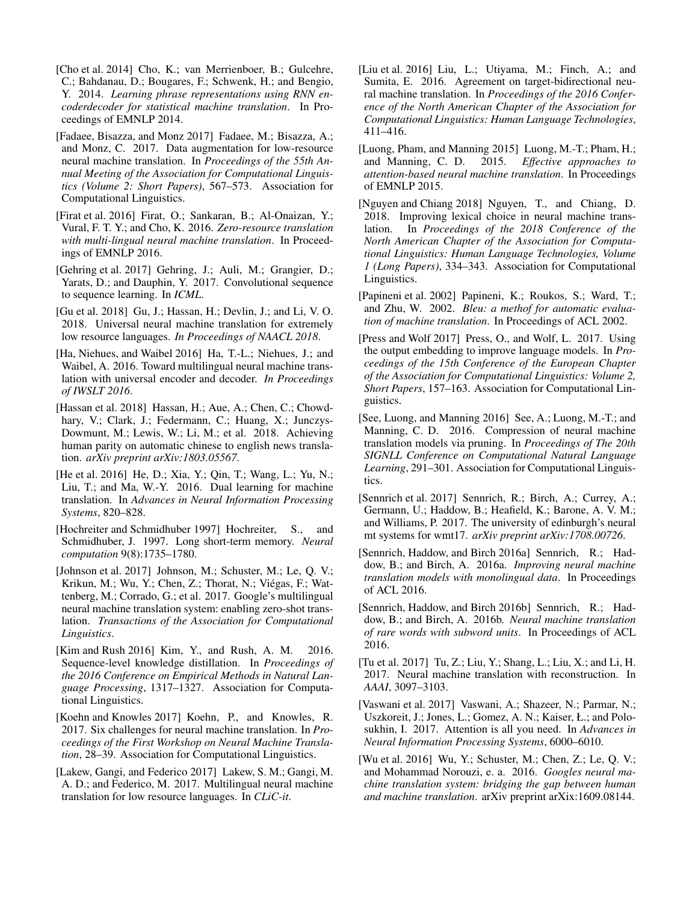- <span id="page-7-12"></span>[Cho et al. 2014] Cho, K.; van Merrienboer, B.; Gulcehre, C.; Bahdanau, D.; Bougares, F.; Schwenk, H.; and Bengio, Y. 2014. *Learning phrase representations using RNN encoderdecoder for statistical machine translation*. In Proceedings of EMNLP 2014.
- <span id="page-7-24"></span>[Fadaee, Bisazza, and Monz 2017] Fadaee, M.; Bisazza, A.; and Monz, C. 2017. Data augmentation for low-resource neural machine translation. In *Proceedings of the 55th Annual Meeting of the Association for Computational Linguistics (Volume 2: Short Papers)*, 567–573. Association for Computational Linguistics.
- <span id="page-7-19"></span>[Firat et al. 2016] Firat, O.; Sankaran, B.; Al-Onaizan, Y.; Vural, F. T. Y.; and Cho, K. 2016. *Zero-resource translation with multi-lingual neural machine translation*. In Proceedings of EMNLP 2016.
- <span id="page-7-0"></span>[Gehring et al. 2017] Gehring, J.; Auli, M.; Grangier, D.; Yarats, D.; and Dauphin, Y. 2017. Convolutional sequence to sequence learning. In *ICML*.
- <span id="page-7-22"></span>[Gu et al. 2018] Gu, J.; Hassan, H.; Devlin, J.; and Li, V. O. 2018. Universal neural machine translation for extremely low resource languages. *In Proceedings of NAACL 2018*.
- <span id="page-7-18"></span>[Ha, Niehues, and Waibel 2016] Ha, T.-L.; Niehues, J.; and Waibel, A. 2016. Toward multilingual neural machine translation with universal encoder and decoder. *In Proceedings of IWSLT 2016*.
- <span id="page-7-3"></span>[Hassan et al. 2018] Hassan, H.; Aue, A.; Chen, C.; Chowdhary, V.; Clark, J.; Federmann, C.; Huang, X.; Junczys-Dowmunt, M.; Lewis, W.; Li, M.; et al. 2018. Achieving human parity on automatic chinese to english news translation. *arXiv preprint arXiv:1803.05567*.
- <span id="page-7-13"></span>[He et al. 2016] He, D.; Xia, Y.; Qin, T.; Wang, L.; Yu, N.; Liu, T.; and Ma, W.-Y. 2016. Dual learning for machine translation. In *Advances in Neural Information Processing Systems*, 820–828.
- <span id="page-7-11"></span>[Hochreiter and Schmidhuber 1997] Hochreiter, S., and Schmidhuber, J. 1997. Long short-term memory. *Neural computation* 9(8):1735–1780.
- <span id="page-7-20"></span>[Johnson et al. 2017] Johnson, M.; Schuster, M.; Le, Q. V.; Krikun, M.; Wu, Y.; Chen, Z.; Thorat, N.; Viégas, F.; Wattenberg, M.; Corrado, G.; et al. 2017. Google's multilingual neural machine translation system: enabling zero-shot translation. *Transactions of the Association for Computational Linguistics*.
- <span id="page-7-6"></span>[Kim and Rush 2016] Kim, Y., and Rush, A. M. 2016. Sequence-level knowledge distillation. In *Proceedings of the 2016 Conference on Empirical Methods in Natural Language Processing*, 1317–1327. Association for Computational Linguistics.
- <span id="page-7-4"></span>[Koehn and Knowles 2017] Koehn, P., and Knowles, R. 2017. Six challenges for neural machine translation. In *Proceedings of the First Workshop on Neural Machine Translation*, 28–39. Association for Computational Linguistics.
- <span id="page-7-21"></span>[Lakew, Gangi, and Federico 2017] Lakew, S. M.; Gangi, M. A. D.; and Federico, M. 2017. Multilingual neural machine translation for low resource languages. In *CLiC-it*.
- <span id="page-7-8"></span>[Liu et al. 2016] Liu, L.; Utiyama, M.; Finch, A.; and Sumita, E. 2016. Agreement on target-bidirectional neural machine translation. In *Proceedings of the 2016 Conference of the North American Chapter of the Association for Computational Linguistics: Human Language Technologies*, 411–416.
- <span id="page-7-10"></span>[Luong, Pham, and Manning 2015] Luong, M.-T.; Pham, H.; and Manning, C. D. 2015. *Effective approaches to attention-based neural machine translation*. In Proceedings of EMNLP 2015.
- <span id="page-7-17"></span>[Nguyen and Chiang 2018] Nguyen, T., and Chiang, D. 2018. Improving lexical choice in neural machine translation. In *Proceedings of the 2018 Conference of the North American Chapter of the Association for Computational Linguistics: Human Language Technologies, Volume 1 (Long Papers)*, 334–343. Association for Computational Linguistics.
- <span id="page-7-16"></span>[Papineni et al. 2002] Papineni, K.; Roukos, S.; Ward, T.; and Zhu, W. 2002. *Bleu: a methof for automatic evaluation of machine translation*. In Proceedings of ACL 2002.
- <span id="page-7-7"></span>[Press and Wolf 2017] Press, O., and Wolf, L. 2017. Using the output embedding to improve language models. In *Proceedings of the 15th Conference of the European Chapter of the Association for Computational Linguistics: Volume 2, Short Papers*, 157–163. Association for Computational Linguistics.
- <span id="page-7-5"></span>[See, Luong, and Manning 2016] See, A.; Luong, M.-T.; and Manning, C. D. 2016. Compression of neural machine translation models via pruning. In *Proceedings of The 20th SIGNLL Conference on Computational Natural Language Learning*, 291–301. Association for Computational Linguistics.
- <span id="page-7-14"></span>[Sennrich et al. 2017] Sennrich, R.; Birch, A.; Currey, A.; Germann, U.; Haddow, B.; Heafield, K.; Barone, A. V. M.; and Williams, P. 2017. The university of edinburgh's neural mt systems for wmt17. *arXiv preprint arXiv:1708.00726*.
- <span id="page-7-23"></span>[Sennrich, Haddow, and Birch 2016a] Sennrich, R.; Haddow, B.; and Birch, A. 2016a. *Improving neural machine translation models with monolingual data*. In Proceedings of ACL 2016.
- <span id="page-7-15"></span>[Sennrich, Haddow, and Birch 2016b] Sennrich, R.; Haddow, B.; and Birch, A. 2016b. *Neural machine translation of rare words with subword units*. In Proceedings of ACL 2016.
- <span id="page-7-9"></span>[Tu et al. 2017] Tu, Z.; Liu, Y.; Shang, L.; Liu, X.; and Li, H. 2017. Neural machine translation with reconstruction. In *AAAI*, 3097–3103.
- <span id="page-7-1"></span>[Vaswani et al. 2017] Vaswani, A.; Shazeer, N.; Parmar, N.; Uszkoreit, J.; Jones, L.; Gomez, A. N.; Kaiser, Ł.; and Polosukhin, I. 2017. Attention is all you need. In *Advances in Neural Information Processing Systems*, 6000–6010.
- <span id="page-7-2"></span>[Wu et al. 2016] Wu, Y.; Schuster, M.; Chen, Z.; Le, Q. V.; and Mohammad Norouzi, e. a. 2016. *Googles neural machine translation system: bridging the gap between human and machine translation*. arXiv preprint arXix:1609.08144.